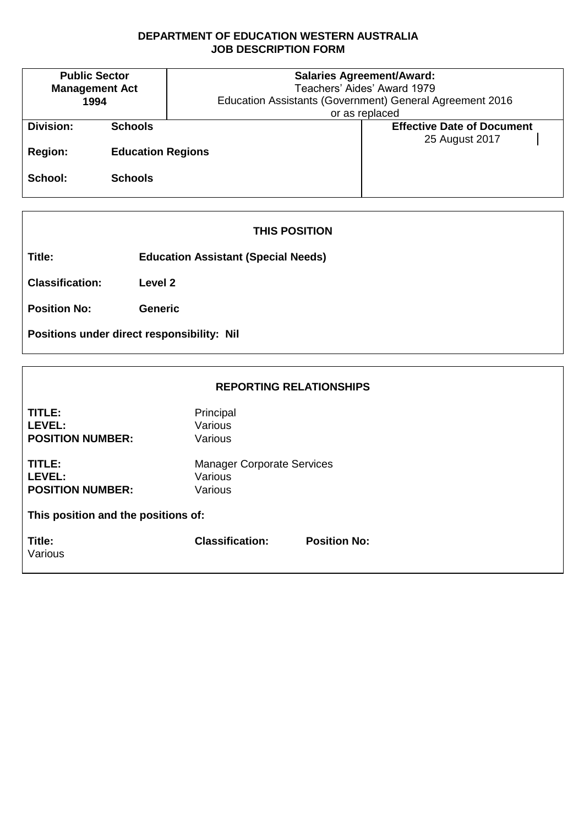#### **DEPARTMENT OF EDUCATION WESTERN AUSTRALIA JOB DESCRIPTION FORM**

| <b>Public Sector</b><br><b>Management Act</b><br>1994 |                          | <b>Salaries Agreement/Award:</b><br>Teachers' Aides' Award 1979<br>Education Assistants (Government) General Agreement 2016 |  |  |
|-------------------------------------------------------|--------------------------|-----------------------------------------------------------------------------------------------------------------------------|--|--|
|                                                       |                          | or as replaced                                                                                                              |  |  |
| Division:                                             | <b>Schools</b>           | <b>Effective Date of Document</b>                                                                                           |  |  |
|                                                       |                          | 25 August 2017                                                                                                              |  |  |
| <b>Region:</b>                                        | <b>Education Regions</b> |                                                                                                                             |  |  |
|                                                       |                          |                                                                                                                             |  |  |
| School:                                               | <b>Schools</b>           |                                                                                                                             |  |  |
|                                                       |                          |                                                                                                                             |  |  |

## **THIS POSITION**

**Title: Education Assistant (Special Needs)**

**Classification: Level 2**

**Position No: Generic**

**Positions under direct responsibility: Nil**

### **REPORTING RELATIONSHIPS**

| TITLE:<br>LEVEL:<br><b>POSITION NUMBER:</b>        | Principal<br>Various<br>Various                         |                     |  |  |  |
|----------------------------------------------------|---------------------------------------------------------|---------------------|--|--|--|
| TITLE:<br><b>LEVEL:</b><br><b>POSITION NUMBER:</b> | <b>Manager Corporate Services</b><br>Various<br>Various |                     |  |  |  |
| This position and the positions of:                |                                                         |                     |  |  |  |
| Title:<br>Various                                  | <b>Classification:</b>                                  | <b>Position No:</b> |  |  |  |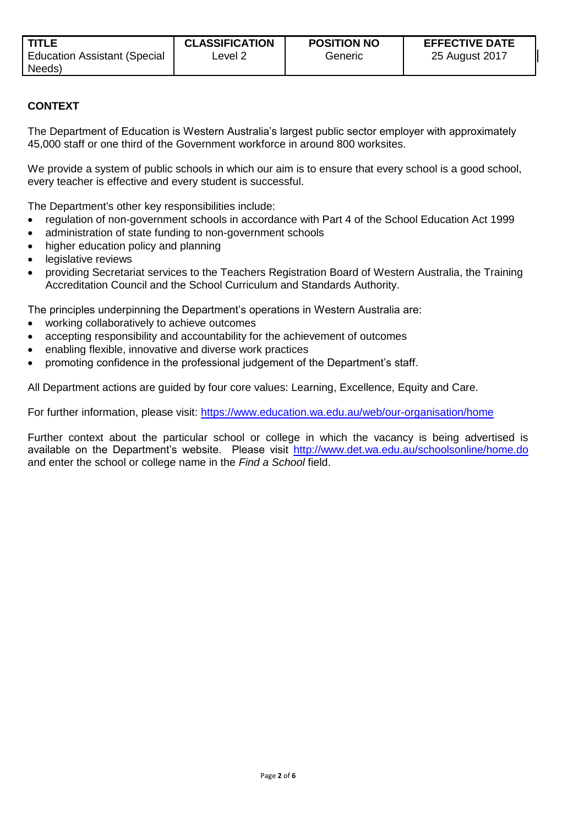## **CONTEXT**

The Department of Education is Western Australia's largest public sector employer with approximately 45,000 staff or one third of the Government workforce in around 800 worksites.

We provide a system of public schools in which our aim is to ensure that every school is a good school, every teacher is effective and every student is successful.

The Department's other key responsibilities include:

- regulation of non-government schools in accordance with Part 4 of the School Education Act 1999
- administration of state funding to non-government schools
- higher education policy and planning
- legislative reviews
- providing Secretariat services to the Teachers Registration Board of Western Australia, the Training Accreditation Council and the School Curriculum and Standards Authority.

The principles underpinning the Department's operations in Western Australia are:

- working collaboratively to achieve outcomes
- accepting responsibility and accountability for the achievement of outcomes
- enabling flexible, innovative and diverse work practices
- promoting confidence in the professional judgement of the Department's staff.

All Department actions are guided by four core values: Learning, Excellence, Equity and Care.

For further information, please visit:<https://www.education.wa.edu.au/web/our-organisation/home>

Further context about the particular school or college in which the vacancy is being advertised is available on the Department's website. Please visit<http://www.det.wa.edu.au/schoolsonline/home.do> and enter the school or college name in the *Find a School* field.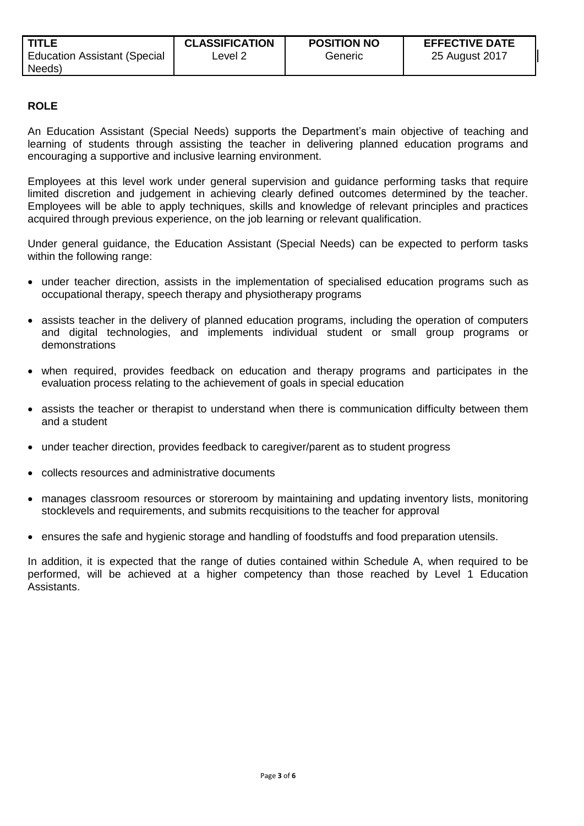# **ROLE**

An Education Assistant (Special Needs) supports the Department's main objective of teaching and learning of students through assisting the teacher in delivering planned education programs and encouraging a supportive and inclusive learning environment.

Employees at this level work under general supervision and guidance performing tasks that require limited discretion and judgement in achieving clearly defined outcomes determined by the teacher. Employees will be able to apply techniques, skills and knowledge of relevant principles and practices acquired through previous experience, on the job learning or relevant qualification.

Under general guidance, the Education Assistant (Special Needs) can be expected to perform tasks within the following range:

- under teacher direction, assists in the implementation of specialised education programs such as occupational therapy, speech therapy and physiotherapy programs
- assists teacher in the delivery of planned education programs, including the operation of computers and digital technologies, and implements individual student or small group programs or demonstrations
- when required, provides feedback on education and therapy programs and participates in the evaluation process relating to the achievement of goals in special education
- assists the teacher or therapist to understand when there is communication difficulty between them and a student
- under teacher direction, provides feedback to caregiver/parent as to student progress
- collects resources and administrative documents
- manages classroom resources or storeroom by maintaining and updating inventory lists, monitoring stocklevels and requirements, and submits recquisitions to the teacher for approval
- ensures the safe and hygienic storage and handling of foodstuffs and food preparation utensils.

In addition, it is expected that the range of duties contained within Schedule A, when required to be performed, will be achieved at a higher competency than those reached by Level 1 Education Assistants.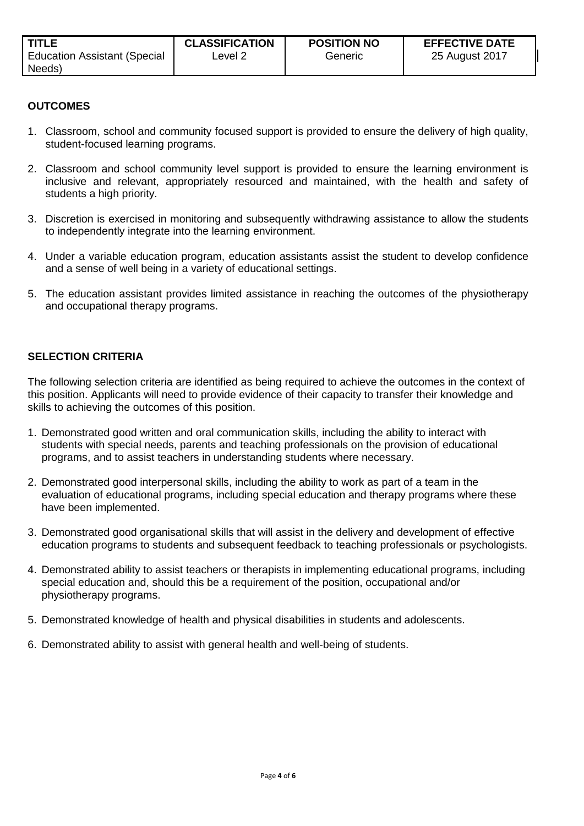## **OUTCOMES**

- 1. Classroom, school and community focused support is provided to ensure the delivery of high quality, student-focused learning programs.
- 2. Classroom and school community level support is provided to ensure the learning environment is inclusive and relevant, appropriately resourced and maintained, with the health and safety of students a high priority.
- 3. Discretion is exercised in monitoring and subsequently withdrawing assistance to allow the students to independently integrate into the learning environment.
- 4. Under a variable education program, education assistants assist the student to develop confidence and a sense of well being in a variety of educational settings.
- 5. The education assistant provides limited assistance in reaching the outcomes of the physiotherapy and occupational therapy programs.

#### **SELECTION CRITERIA**

The following selection criteria are identified as being required to achieve the outcomes in the context of this position. Applicants will need to provide evidence of their capacity to transfer their knowledge and skills to achieving the outcomes of this position.

- 1. Demonstrated good written and oral communication skills, including the ability to interact with students with special needs, parents and teaching professionals on the provision of educational programs, and to assist teachers in understanding students where necessary.
- 2. Demonstrated good interpersonal skills, including the ability to work as part of a team in the evaluation of educational programs, including special education and therapy programs where these have been implemented.
- 3. Demonstrated good organisational skills that will assist in the delivery and development of effective education programs to students and subsequent feedback to teaching professionals or psychologists.
- 4. Demonstrated ability to assist teachers or therapists in implementing educational programs, including special education and, should this be a requirement of the position, occupational and/or physiotherapy programs.
- 5. Demonstrated knowledge of health and physical disabilities in students and adolescents.
- 6. Demonstrated ability to assist with general health and well-being of students.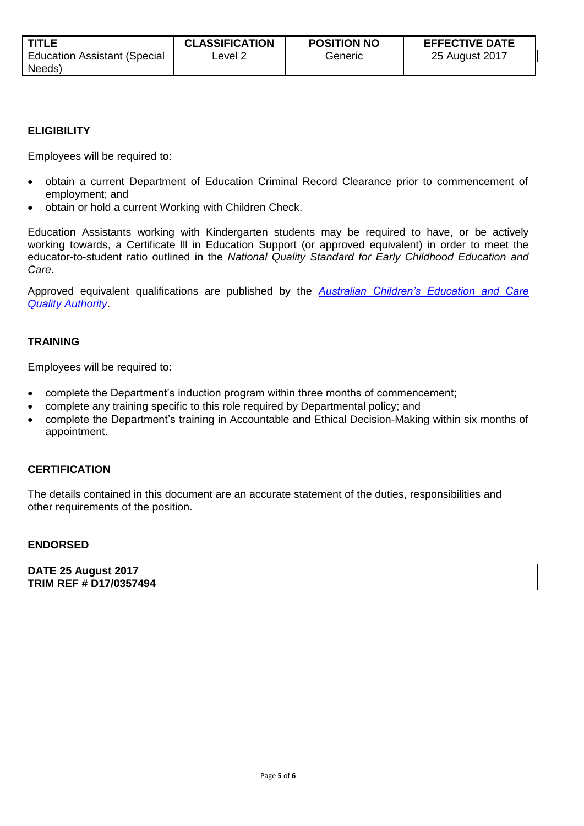#### **ELIGIBILITY**

Employees will be required to:

- obtain a current Department of Education Criminal Record Clearance prior to commencement of employment; and
- obtain or hold a current Working with Children Check.

Education Assistants working with Kindergarten students may be required to have, or be actively working towards, a Certificate lll in Education Support (or approved equivalent) in order to meet the educator-to-student ratio outlined in the *National Quality Standard for Early Childhood Education and Care*.

Approved equivalent qualifications are published by the *[Australian Children's Education and Care](http://www.acecqa.gov.au/educators-and-providers1/qualifications)  [Quality Authority](http://www.acecqa.gov.au/educators-and-providers1/qualifications)*.

#### **TRAINING**

Employees will be required to:

- complete the Department's induction program within three months of commencement;
- complete any training specific to this role required by Departmental policy; and
- complete the Department's training in Accountable and Ethical Decision-Making within six months of appointment.

#### **CERTIFICATION**

The details contained in this document are an accurate statement of the duties, responsibilities and other requirements of the position.

#### **ENDORSED**

**DATE 25 August 2017 TRIM REF # D17/0357494**